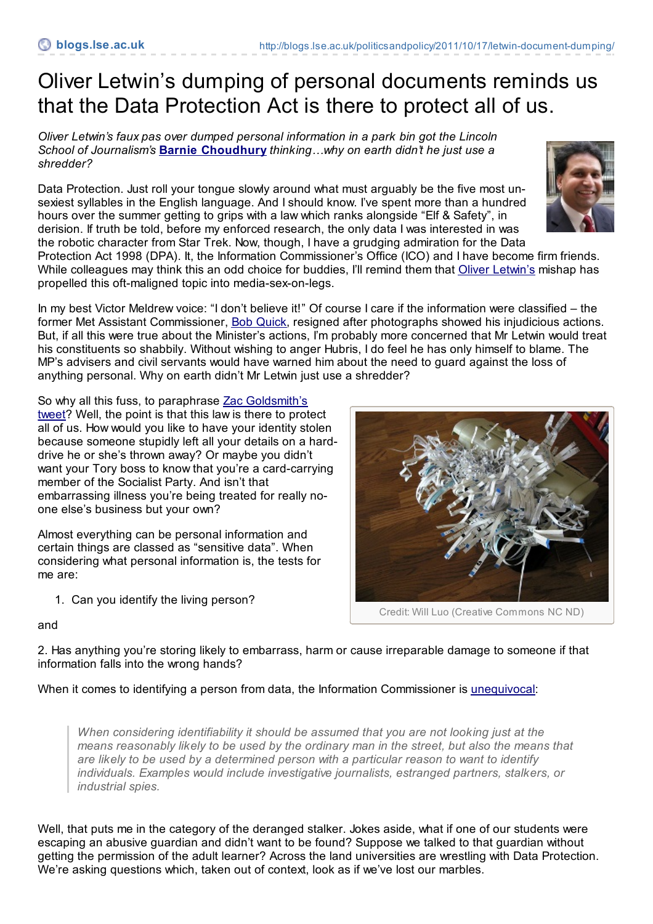## Oliver Letwin's dumping of personal documents reminds us that the Data Protection Act is there to protect all of us.

*Oliver Letwin's faux pas over dumped personal information in a park bin got the Lincoln School of Journalism's* **Barnie [Choudhury](http://blogs.lse.ac.uk/politicsandpolicy/contributors/#Barnie_Choudhury)** *thinking…why on earth didn't he just use a shredder?*

Data Protection. Just roll your tongue slowly around what must arguably be the five most unsexiest syllables in the English language. And I should know. I've spent more than a hundred hours over the summer getting to grips with a law which ranks alongside "Elf & Safety", in derision. If truth be told, before my enforced research, the only data I was interested in was the robotic character from Star Trek. Now, though, I have a grudging admiration for the Data

Protection Act 1998 (DPA). It, the Information Commissioner's Office (ICO) and I have become firm friends. While colleagues may think this an odd choice for buddies, I'll remind them that Oliver [Letwin's](http://www.guardian.co.uk/politics/2011/oct/14/oliver-letwin-sorry-documents-bin) mishap has propelled this oft-maligned topic into media-sex-on-legs.

In my best Victor Meldrew voice: "I don't believe it!" Of course I care if the information were classified – the former Met Assistant Commissioner, Bob [Quick](http://www.telegraph.co.uk/news/uknews/5129561/Bob-Quick-resigns-over-terror-blunder.html), resigned after photographs showed his injudicious actions. But, if all this were true about the Minister's actions, I'm probably more concerned that Mr Letwin would treat his constituents so shabbily. Without wishing to anger Hubris, I do feel he has only himself to blame. The MP's advisers and civil servants would have warned him about the need to guard against the loss of anything personal. Why on earth didn't Mr Letwin just use a shredder?

So why all this fuss, to [paraphrase](http://twitter.com/#!/ZacGoldsmith/status/124755221518876672) Zac Goldsmith's

tweet? Well, the point is that this law is there to protect all of us. How would you like to have your identity stolen because someone stupidly left all your details on a harddrive he or she's thrown away? Or maybe you didn't want your Tory boss to know that you're a card-carrying member of the Socialist Party. And isn't that embarrassing illness you're being treated for really noone else's business but your own?

Almost everything can be personal information and certain things are classed as "sensitive data". When considering what personal information is, the tests for me are:

1. Can you identify the living person?

Credit: Will Luo (Creative Commons NC ND)

## and

2. Has anything you're storing likely to embarrass, harm or cause irreparable damage to someone if that information falls into the wrong hands?

When it comes to identifying a person from data, the Information Commissioner is [unequivocal](http://www.ico.gov.uk/upload/documents/determining_what_is_personal_data/whatispersonaldata2.htm):

*When considering identifiability it should be assumed that you are not looking just at the means reasonably likely to be used by the ordinary man in the street, but also the means that are likely to be used by a determined person with a particular reason to want to identify individuals. Examples would include investigative journalists, estranged partners, stalkers, or industrial spies.*

Well, that puts me in the category of the deranged stalker. Jokes aside, what if one of our students were escaping an abusive guardian and didn't want to be found? Suppose we talked to that guardian without getting the permission of the adult learner? Across the land universities are wrestling with Data Protection. We're asking questions which, taken out of context, look as if we've lost our marbles.